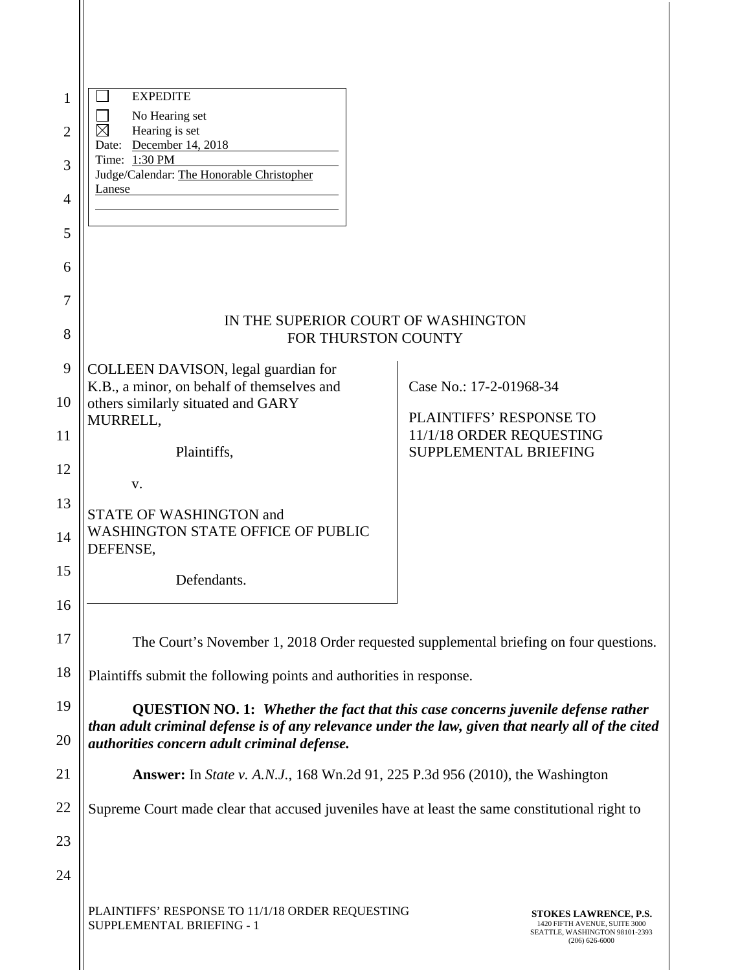| 1              | <b>EXPEDITE</b>                                                                                                                                  |                                                                                                                     |
|----------------|--------------------------------------------------------------------------------------------------------------------------------------------------|---------------------------------------------------------------------------------------------------------------------|
| $\overline{2}$ | No Hearing set<br>$\boxtimes$<br>Hearing is set                                                                                                  |                                                                                                                     |
| 3              | Date: December 14, 2018<br>Time: 1:30 PM                                                                                                         |                                                                                                                     |
|                | Judge/Calendar: The Honorable Christopher<br>Lanese                                                                                              |                                                                                                                     |
| 4              |                                                                                                                                                  |                                                                                                                     |
| 5              |                                                                                                                                                  |                                                                                                                     |
| 6              |                                                                                                                                                  |                                                                                                                     |
| 7              |                                                                                                                                                  |                                                                                                                     |
| 8              | IN THE SUPERIOR COURT OF WASHINGTON<br>FOR THURSTON COUNTY                                                                                       |                                                                                                                     |
| 9              | COLLEEN DAVISON, legal guardian for                                                                                                              |                                                                                                                     |
| 10             | K.B., a minor, on behalf of themselves and<br>others similarly situated and GARY                                                                 | Case No.: 17-2-01968-34                                                                                             |
| 11             | MURRELL,                                                                                                                                         | PLAINTIFFS' RESPONSE TO<br>11/1/18 ORDER REQUESTING                                                                 |
| 12             | Plaintiffs,                                                                                                                                      | <b>SUPPLEMENTAL BRIEFING</b>                                                                                        |
|                | V.                                                                                                                                               |                                                                                                                     |
| 13             | <b>STATE OF WASHINGTON and</b><br><b>WASHINGTON STATE OFFICE OF PUBLIC</b>                                                                       |                                                                                                                     |
| 14             | DEFENSE,                                                                                                                                         |                                                                                                                     |
| 15             | Defendants.                                                                                                                                      |                                                                                                                     |
| 16             |                                                                                                                                                  |                                                                                                                     |
| 17             | The Court's November 1, 2018 Order requested supplemental briefing on four questions.                                                            |                                                                                                                     |
| 18             | Plaintiffs submit the following points and authorities in response.                                                                              |                                                                                                                     |
| 19             | QUESTION NO. 1: Whether the fact that this case concerns juvenile defense rather                                                                 |                                                                                                                     |
| 20             | than adult criminal defense is of any relevance under the law, given that nearly all of the cited<br>authorities concern adult criminal defense. |                                                                                                                     |
| 21             | <b>Answer:</b> In <i>State v. A.N.J.</i> , 168 Wn.2d 91, 225 P.3d 956 (2010), the Washington                                                     |                                                                                                                     |
| 22             | Supreme Court made clear that accused juveniles have at least the same constitutional right to                                                   |                                                                                                                     |
| 23             |                                                                                                                                                  |                                                                                                                     |
| 24             |                                                                                                                                                  |                                                                                                                     |
|                | PLAINTIFFS' RESPONSE TO 11/1/18 ORDER REQUESTING<br>SUPPLEMENTAL BRIEFING - 1                                                                    | <b>STOKES LAWRENCE, P.S.</b><br>1420 FIFTH AVENUE, SUITE 3000<br>SEATTLE, WASHINGTON 98101-2393<br>$(206)$ 626-6000 |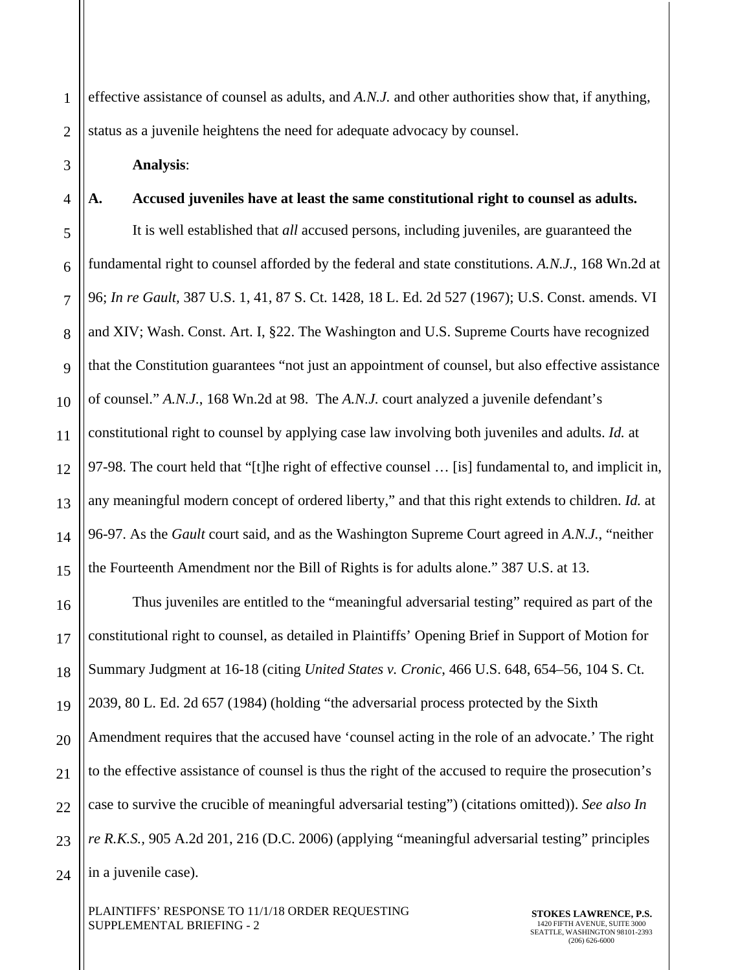1 2 effective assistance of counsel as adults, and *A.N.J.* and other authorities show that, if anything, status as a juvenile heightens the need for adequate advocacy by counsel.

3

4

#### **Analysis**:

# **A. Accused juveniles have at least the same constitutional right to counsel as adults.**

5 6 7 8 9 10 11 12 13 14 15 It is well established that *all* accused persons, including juveniles, are guaranteed the fundamental right to counsel afforded by the federal and state constitutions. *A.N.J.*, 168 Wn.2d at 96; *In re Gault,* 387 U.S. 1, 41, 87 S. Ct. 1428, 18 L. Ed. 2d 527 (1967); U.S. Const. amends. VI and XIV; Wash. Const. Art. I, §22. The Washington and U.S. Supreme Courts have recognized that the Constitution guarantees "not just an appointment of counsel, but also effective assistance of counsel." *A.N.J.*, 168 Wn.2d at 98. The *A.N.J.* court analyzed a juvenile defendant's constitutional right to counsel by applying case law involving both juveniles and adults. *Id.* at 97-98. The court held that "[t]he right of effective counsel … [is] fundamental to, and implicit in, any meaningful modern concept of ordered liberty," and that this right extends to children. *Id.* at 96-97. As the *Gault* court said, and as the Washington Supreme Court agreed in *A.N.J.*, "neither the Fourteenth Amendment nor the Bill of Rights is for adults alone." 387 U.S. at 13.

16 17 18 19 20 21 22 23 24 Thus juveniles are entitled to the "meaningful adversarial testing" required as part of the constitutional right to counsel, as detailed in Plaintiffs' Opening Brief in Support of Motion for Summary Judgment at 16-18 (citing *United States v. Cronic*, 466 U.S. 648, 654–56, 104 S. Ct. 2039, 80 L. Ed. 2d 657 (1984) (holding "the adversarial process protected by the Sixth Amendment requires that the accused have 'counsel acting in the role of an advocate.' The right to the effective assistance of counsel is thus the right of the accused to require the prosecution's case to survive the crucible of meaningful adversarial testing") (citations omitted)). *See also In re R.K.S.,* 905 A.2d 201, 216 (D.C. 2006) (applying "meaningful adversarial testing" principles in a juvenile case).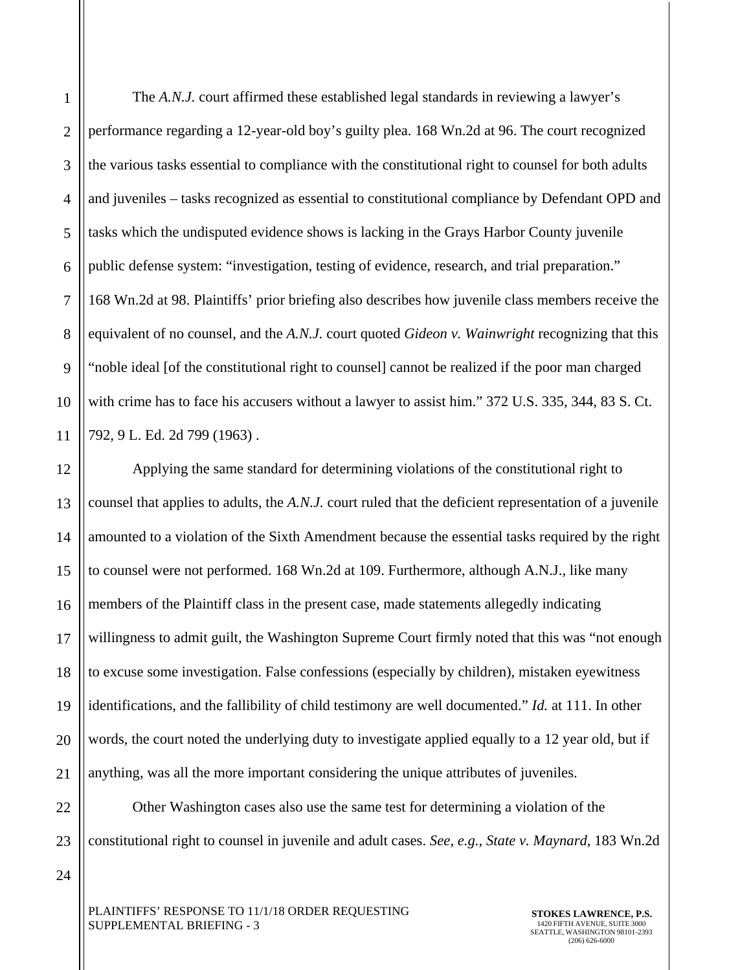1

2

3

The *A.N.J.* court affirmed these established legal standards in reviewing a lawyer's performance regarding a 12-year-old boy's guilty plea. 168 Wn.2d at 96. The court recognized the various tasks essential to compliance with the constitutional right to counsel for both adults and juveniles – tasks recognized as essential to constitutional compliance by Defendant OPD and tasks which the undisputed evidence shows is lacking in the Grays Harbor County juvenile public defense system: "investigation, testing of evidence, research, and trial preparation." 168 Wn.2d at 98. Plaintiffs' prior briefing also describes how juvenile class members receive the equivalent of no counsel, and the *A.N.J.* court quoted *Gideon v. Wainwright* recognizing that this "noble ideal [of the constitutional right to counsel] cannot be realized if the poor man charged with crime has to face his accusers without a lawyer to assist him." 372 U.S. 335, 344, 83 S. Ct. 792, 9 L. Ed. 2d 799 (1963) .

Applying the same standard for determining violations of the constitutional right to counsel that applies to adults, the *A.N.J.* court ruled that the deficient representation of a juvenile amounted to a violation of the Sixth Amendment because the essential tasks required by the right to counsel were not performed. 168 Wn.2d at 109. Furthermore, although A.N.J., like many members of the Plaintiff class in the present case, made statements allegedly indicating willingness to admit guilt, the Washington Supreme Court firmly noted that this was "not enough to excuse some investigation. False confessions (especially by children), mistaken eyewitness identifications, and the fallibility of child testimony are well documented." *Id.* at 111. In other words, the court noted the underlying duty to investigate applied equally to a 12 year old, but if anything, was all the more important considering the unique attributes of juveniles.

 Other Washington cases also use the same test for determining a violation of the constitutional right to counsel in juvenile and adult cases. *See, e.g., State v. Maynard*, 183 Wn.2d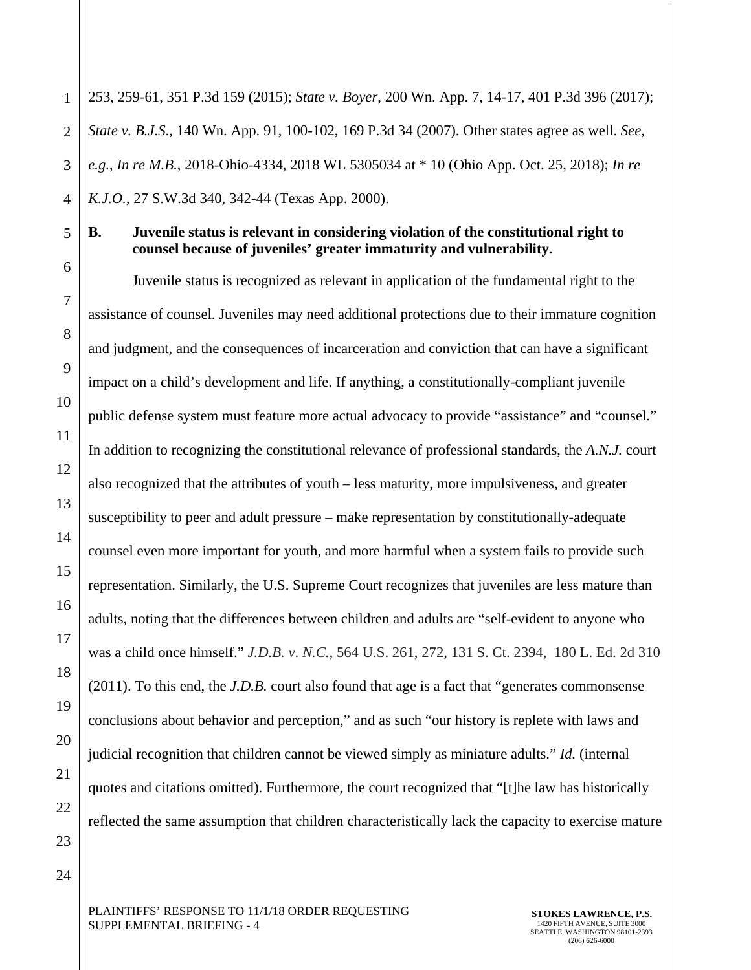1 2 3 4 253, 259-61, 351 P.3d 159 (2015); *State v. Boyer*, 200 Wn. App. 7, 14-17, 401 P.3d 396 (2017); *State v. B.J.S*., 140 Wn. App. 91, 100-102, 169 P.3d 34 (2007). Other states agree as well. *See, e.g.*, *In re M.B.*, 2018-Ohio-4334, 2018 WL 5305034 at \* 10 (Ohio App. Oct. 25, 2018); *In re K.J.O.,* 27 S.W.3d 340, 342-44 (Texas App. 2000).

5

6

7

8

9

10

11

12

13

14

15

16

17

18

19

20

21

22

23

24

### **B. Juvenile status is relevant in considering violation of the constitutional right to counsel because of juveniles' greater immaturity and vulnerability.**

 Juvenile status is recognized as relevant in application of the fundamental right to the assistance of counsel. Juveniles may need additional protections due to their immature cognition and judgment, and the consequences of incarceration and conviction that can have a significant impact on a child's development and life. If anything, a constitutionally-compliant juvenile public defense system must feature more actual advocacy to provide "assistance" and "counsel." In addition to recognizing the constitutional relevance of professional standards, the *A.N.J.* court also recognized that the attributes of youth – less maturity, more impulsiveness, and greater susceptibility to peer and adult pressure – make representation by constitutionally-adequate counsel even more important for youth, and more harmful when a system fails to provide such representation. Similarly, the U.S. Supreme Court recognizes that juveniles are less mature than adults, noting that the differences between children and adults are "self-evident to anyone who was a child once himself." *J.D.B. v*. *N.C.,* 564 U.S. 261, 272, 131 S. Ct. 2394, 180 L. Ed. 2d 310 (2011). To this end, the *J.D.B.* court also found that age is a fact that "generates commonsense conclusions about behavior and perception," and as such "our history is replete with laws and judicial recognition that children cannot be viewed simply as miniature adults." *Id.* (internal quotes and citations omitted). Furthermore, the court recognized that "[t]he law has historically reflected the same assumption that children characteristically lack the capacity to exercise mature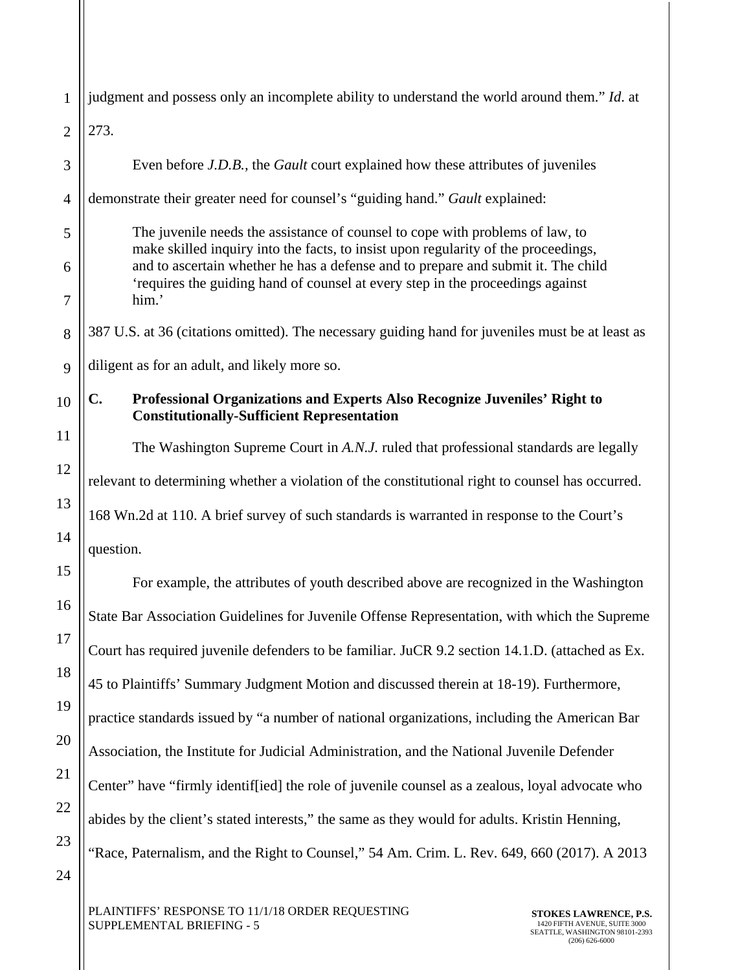| 1              | judgment and possess only an incomplete ability to understand the world around them." Id. at                                                                        |
|----------------|---------------------------------------------------------------------------------------------------------------------------------------------------------------------|
| $\overline{2}$ | 273.                                                                                                                                                                |
| 3              | Even before <i>J.D.B.</i> , the <i>Gault</i> court explained how these attributes of juveniles                                                                      |
| $\overline{4}$ | demonstrate their greater need for counsel's "guiding hand." Gault explained:                                                                                       |
| 5              | The juvenile needs the assistance of counsel to cope with problems of law, to<br>make skilled inquiry into the facts, to insist upon regularity of the proceedings, |
| 6              | and to ascertain whether he has a defense and to prepare and submit it. The child<br>'requires the guiding hand of counsel at every step in the proceedings against |
| $\overline{7}$ | him.'                                                                                                                                                               |
| 8              | 387 U.S. at 36 (citations omitted). The necessary guiding hand for juveniles must be at least as                                                                    |
| 9              | diligent as for an adult, and likely more so.                                                                                                                       |
| 10             | C.<br>Professional Organizations and Experts Also Recognize Juveniles' Right to<br><b>Constitutionally-Sufficient Representation</b>                                |
| 11             | The Washington Supreme Court in A.N.J. ruled that professional standards are legally                                                                                |
| 12             | relevant to determining whether a violation of the constitutional right to counsel has occurred.                                                                    |
| 13             | 168 Wn.2d at 110. A brief survey of such standards is warranted in response to the Court's                                                                          |
| 14             | question.                                                                                                                                                           |
| 15             | For example, the attributes of youth described above are recognized in the Washington                                                                               |
| 16             | State Bar Association Guidelines for Juvenile Offense Representation, with which the Supreme                                                                        |
| 17             | Court has required juvenile defenders to be familiar. JuCR 9.2 section 14.1.D. (attached as Ex.                                                                     |
| 18             | 45 to Plaintiffs' Summary Judgment Motion and discussed therein at 18-19). Furthermore,                                                                             |
| 19             | practice standards issued by "a number of national organizations, including the American Bar                                                                        |
| 20             | Association, the Institute for Judicial Administration, and the National Juvenile Defender                                                                          |
| 21             | Center" have "firmly identif[ied] the role of juvenile counsel as a zealous, loyal advocate who                                                                     |
| 22             | abides by the client's stated interests," the same as they would for adults. Kristin Henning,                                                                       |
| 23             | "Race, Paternalism, and the Right to Counsel," 54 Am. Crim. L. Rev. 649, 660 (2017). A 2013                                                                         |
| 24             |                                                                                                                                                                     |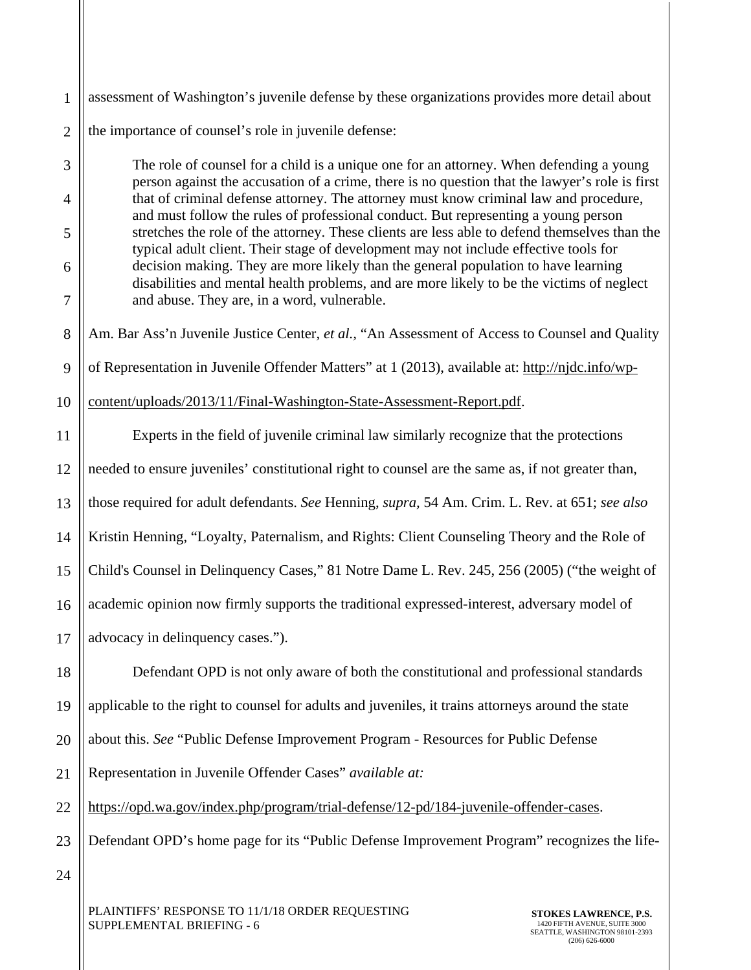1 2 assessment of Washington's juvenile defense by these organizations provides more detail about the importance of counsel's role in juvenile defense:

The role of counsel for a child is a unique one for an attorney. When defending a young person against the accusation of a crime, there is no question that the lawyer's role is first that of criminal defense attorney. The attorney must know criminal law and procedure, and must follow the rules of professional conduct. But representing a young person stretches the role of the attorney. These clients are less able to defend themselves than the typical adult client. Their stage of development may not include effective tools for decision making. They are more likely than the general population to have learning disabilities and mental health problems, and are more likely to be the victims of neglect and abuse. They are, in a word, vulnerable.

8 Am. Bar Ass'n Juvenile Justice Center, *et al.,* "An Assessment of Access to Counsel and Quality

9 of Representation in Juvenile Offender Matters" at 1 (2013), available at: http://njdc.info/wp-

10 content/uploads/2013/11/Final-Washington-State-Assessment-Report.pdf.

11 12 13 14 15 16 17 Experts in the field of juvenile criminal law similarly recognize that the protections needed to ensure juveniles' constitutional right to counsel are the same as, if not greater than, those required for adult defendants. *See* Henning, *supra,* 54 Am. Crim. L. Rev. at 651; *see also* Kristin Henning, "Loyalty, Paternalism, and Rights: Client Counseling Theory and the Role of Child's Counsel in Delinquency Cases," 81 Notre Dame L. Rev. 245, 256 (2005) ("the weight of academic opinion now firmly supports the traditional expressed-interest, adversary model of advocacy in delinquency cases.").

18 19 20 21 Defendant OPD is not only aware of both the constitutional and professional standards applicable to the right to counsel for adults and juveniles, it trains attorneys around the state about this. *See* "Public Defense Improvement Program - Resources for Public Defense Representation in Juvenile Offender Cases" *available at:*

22 https://opd.wa.gov/index.php/program/trial-defense/12-pd/184-juvenile-offender-cases.

23 Defendant OPD's home page for its "Public Defense Improvement Program" recognizes the life-

24

3

4

5

6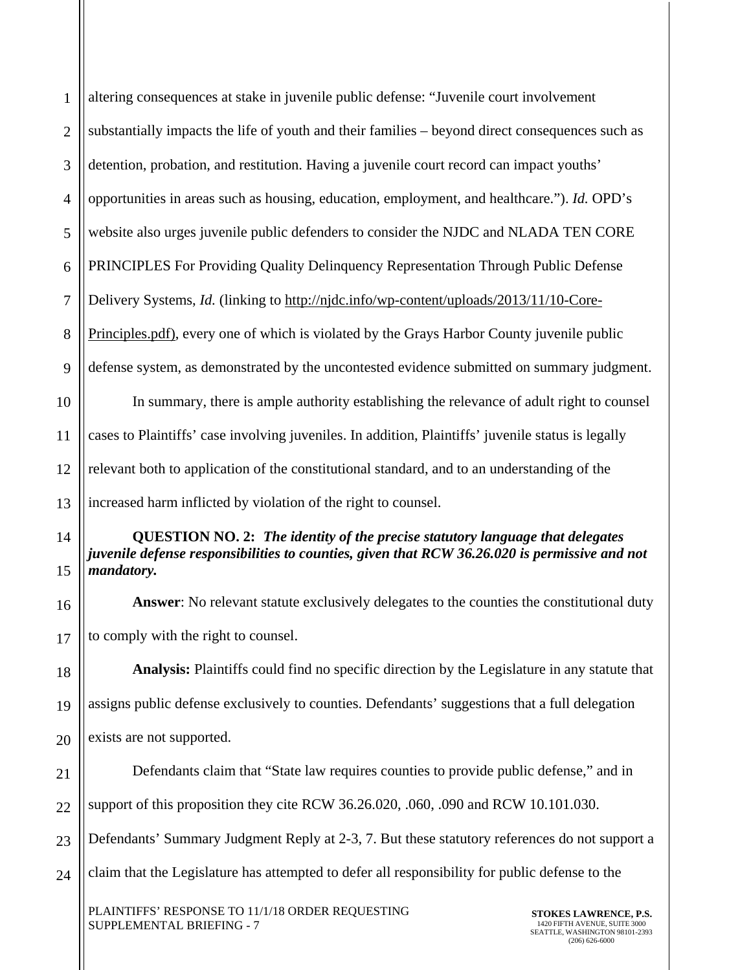| $\mathbf{1}$   | altering consequences at stake in juvenile public defense: "Juvenile court involvement                                                                                                                 |  |
|----------------|--------------------------------------------------------------------------------------------------------------------------------------------------------------------------------------------------------|--|
| $\overline{2}$ | substantially impacts the life of youth and their families - beyond direct consequences such as                                                                                                        |  |
| 3              | detention, probation, and restitution. Having a juvenile court record can impact youths'                                                                                                               |  |
| $\overline{4}$ | opportunities in areas such as housing, education, employment, and healthcare."). Id. OPD's                                                                                                            |  |
| 5              | website also urges juvenile public defenders to consider the NJDC and NLADA TEN CORE                                                                                                                   |  |
| 6              | PRINCIPLES For Providing Quality Delinquency Representation Through Public Defense                                                                                                                     |  |
| $\tau$         | Delivery Systems, <i>Id.</i> (linking to http://njdc.info/wp-content/uploads/2013/11/10-Core-                                                                                                          |  |
| 8              | Principles.pdf), every one of which is violated by the Grays Harbor County juvenile public                                                                                                             |  |
| 9              | defense system, as demonstrated by the uncontested evidence submitted on summary judgment.                                                                                                             |  |
| 10             | In summary, there is ample authority establishing the relevance of adult right to counsel                                                                                                              |  |
| 11             | cases to Plaintiffs' case involving juveniles. In addition, Plaintiffs' juvenile status is legally                                                                                                     |  |
| 12             | relevant both to application of the constitutional standard, and to an understanding of the                                                                                                            |  |
| 13             | increased harm inflicted by violation of the right to counsel.                                                                                                                                         |  |
| 14<br>15       | <b>QUESTION NO. 2: The identity of the precise statutory language that delegates</b><br>juvenile defense responsibilities to counties, given that RCW 36.26.020 is permissive and not<br>mandatory.    |  |
| 16             | Answer: No relevant statute exclusively delegates to the counties the constitutional duty                                                                                                              |  |
| 17             | to comply with the right to counsel.                                                                                                                                                                   |  |
| 18             | Analysis: Plaintiffs could find no specific direction by the Legislature in any statute that                                                                                                           |  |
| 19             | assigns public defense exclusively to counties. Defendants' suggestions that a full delegation                                                                                                         |  |
| 20             | exists are not supported.                                                                                                                                                                              |  |
| 21             | Defendants claim that "State law requires counties to provide public defense," and in                                                                                                                  |  |
| 22             | support of this proposition they cite RCW 36.26.020, .060, .090 and RCW 10.101.030.                                                                                                                    |  |
| 23             | Defendants' Summary Judgment Reply at 2-3, 7. But these statutory references do not support a                                                                                                          |  |
| 24             | claim that the Legislature has attempted to defer all responsibility for public defense to the                                                                                                         |  |
|                | PLAINTIFFS' RESPONSE TO 11/1/18 ORDER REQUESTING<br><b>STOKES LAWRENCE, P.S.</b><br>SUPPLEMENTAL BRIEFING - 7<br>1420 FIFTH AVENUE, SUITE 3000<br>SEATTLE, WASHINGTON 98101-2393<br>$(206) 626 - 6000$ |  |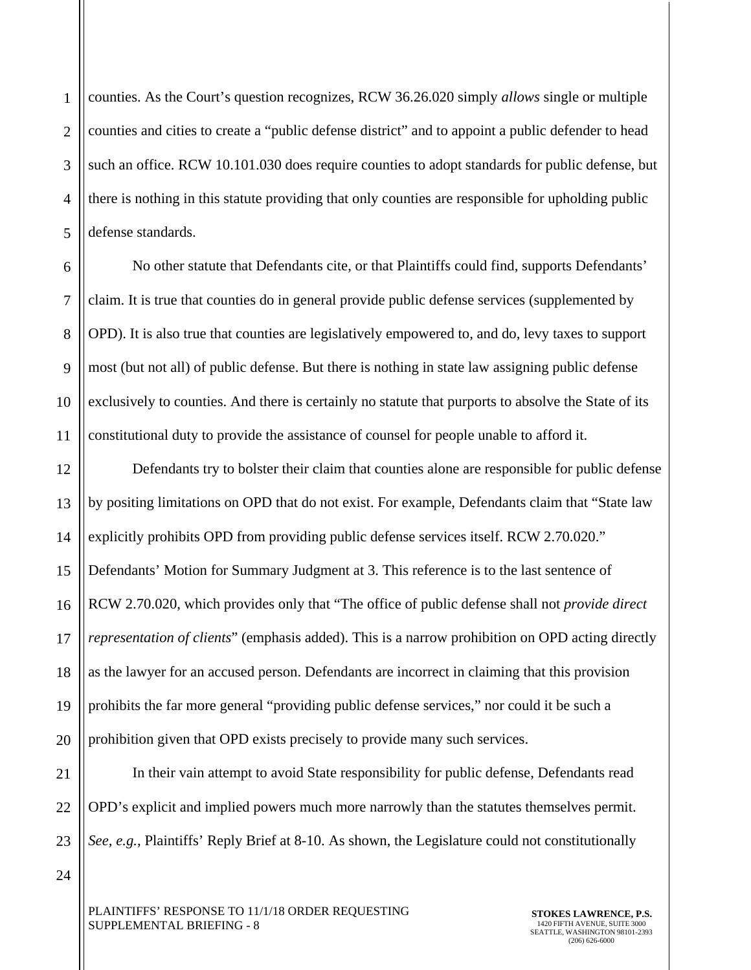1 2 3 4 5 counties. As the Court's question recognizes, RCW 36.26.020 simply *allows* single or multiple counties and cities to create a "public defense district" and to appoint a public defender to head such an office. RCW 10.101.030 does require counties to adopt standards for public defense, but there is nothing in this statute providing that only counties are responsible for upholding public defense standards.

6 7 8 9 10 11 No other statute that Defendants cite, or that Plaintiffs could find, supports Defendants' claim. It is true that counties do in general provide public defense services (supplemented by OPD). It is also true that counties are legislatively empowered to, and do, levy taxes to support most (but not all) of public defense. But there is nothing in state law assigning public defense exclusively to counties. And there is certainly no statute that purports to absolve the State of its constitutional duty to provide the assistance of counsel for people unable to afford it.

12 13 14 15 16 17 18 19 20 Defendants try to bolster their claim that counties alone are responsible for public defense by positing limitations on OPD that do not exist. For example, Defendants claim that "State law explicitly prohibits OPD from providing public defense services itself. RCW 2.70.020." Defendants' Motion for Summary Judgment at 3. This reference is to the last sentence of RCW 2.70.020, which provides only that "The office of public defense shall not *provide direct representation of clients*" (emphasis added). This is a narrow prohibition on OPD acting directly as the lawyer for an accused person. Defendants are incorrect in claiming that this provision prohibits the far more general "providing public defense services," nor could it be such a prohibition given that OPD exists precisely to provide many such services.

21 22 23 In their vain attempt to avoid State responsibility for public defense, Defendants read OPD's explicit and implied powers much more narrowly than the statutes themselves permit. *See, e.g.,* Plaintiffs' Reply Brief at 8-10. As shown, the Legislature could not constitutionally

PLAINTIFFS' RESPONSE TO 11/1/18 ORDER REQUESTING SUPPLEMENTAL BRIEFING - 8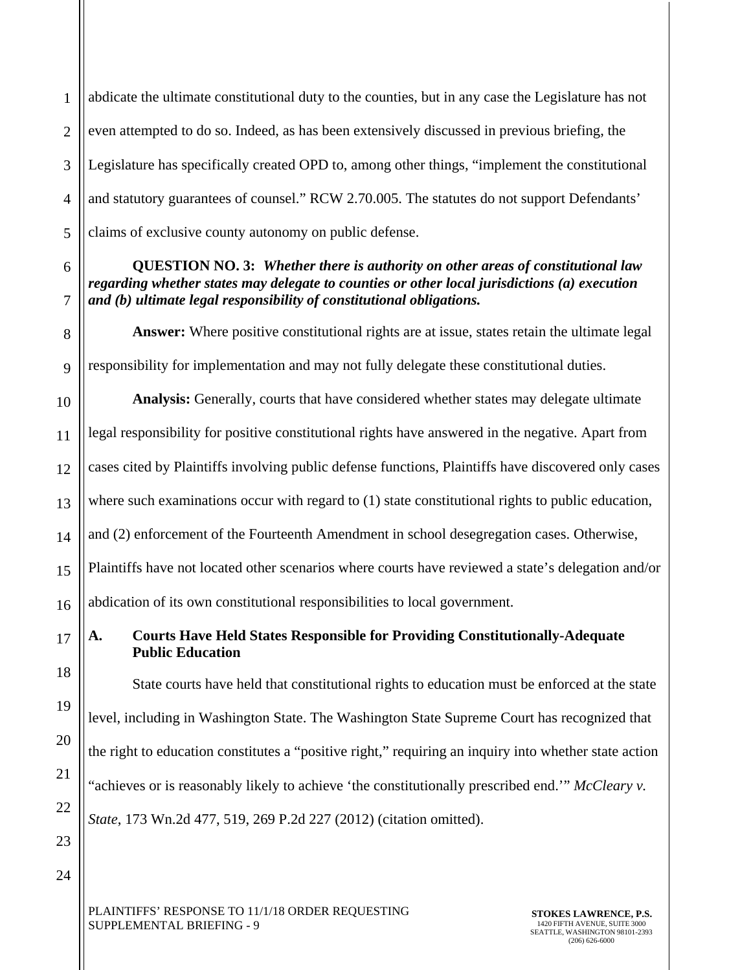1 2 3 4 5 abdicate the ultimate constitutional duty to the counties, but in any case the Legislature has not even attempted to do so. Indeed, as has been extensively discussed in previous briefing, the Legislature has specifically created OPD to, among other things, "implement the constitutional and statutory guarantees of counsel." RCW 2.70.005. The statutes do not support Defendants' claims of exclusive county autonomy on public defense.

6

7

8

9

18

19

20

21

22

23

24

# **QUESTION NO. 3:** *Whether there is authority on other areas of constitutional law regarding whether states may delegate to counties or other local jurisdictions (a) execution and (b) ultimate legal responsibility of constitutional obligations.*

Answer: Where positive constitutional rights are at issue, states retain the ultimate legal responsibility for implementation and may not fully delegate these constitutional duties.

10 11 12 13 14 15 16 **Analysis:** Generally, courts that have considered whether states may delegate ultimate legal responsibility for positive constitutional rights have answered in the negative. Apart from cases cited by Plaintiffs involving public defense functions, Plaintiffs have discovered only cases where such examinations occur with regard to (1) state constitutional rights to public education, and (2) enforcement of the Fourteenth Amendment in school desegregation cases. Otherwise, Plaintiffs have not located other scenarios where courts have reviewed a state's delegation and/or abdication of its own constitutional responsibilities to local government.

17 **A. Courts Have Held States Responsible for Providing Constitutionally-Adequate Public Education** 

State courts have held that constitutional rights to education must be enforced at the state level, including in Washington State. The Washington State Supreme Court has recognized that the right to education constitutes a "positive right," requiring an inquiry into whether state action "achieves or is reasonably likely to achieve 'the constitutionally prescribed end.'" *McCleary v. State*, 173 Wn.2d 477, 519, 269 P.2d 227 (2012) (citation omitted).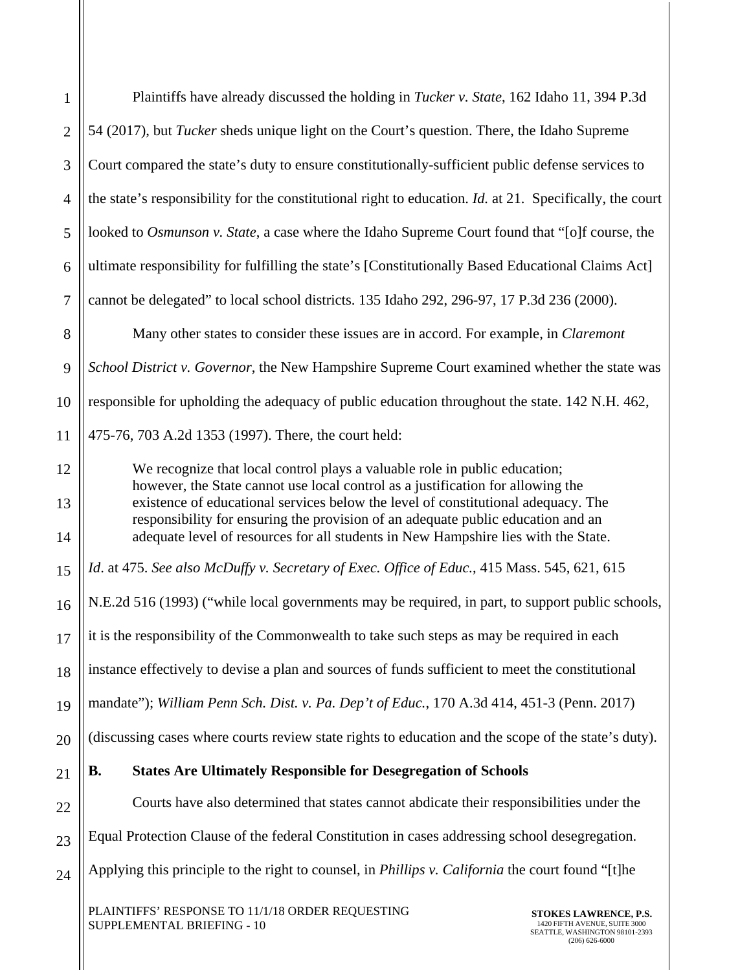| $\mathbf{1}$   | Plaintiffs have already discussed the holding in <i>Tucker v. State</i> , 162 Idaho 11, 394 P.3d                                                                                                                                                         |
|----------------|----------------------------------------------------------------------------------------------------------------------------------------------------------------------------------------------------------------------------------------------------------|
| $\overline{2}$ | 54 (2017), but <i>Tucker</i> sheds unique light on the Court's question. There, the Idaho Supreme                                                                                                                                                        |
| 3              | Court compared the state's duty to ensure constitutionally-sufficient public defense services to                                                                                                                                                         |
| $\overline{4}$ | the state's responsibility for the constitutional right to education. Id. at 21. Specifically, the court                                                                                                                                                 |
| 5              | looked to Osmunson v. State, a case where the Idaho Supreme Court found that "[o]f course, the                                                                                                                                                           |
| 6              | ultimate responsibility for fulfilling the state's [Constitutionally Based Educational Claims Act]                                                                                                                                                       |
| $\overline{7}$ | cannot be delegated" to local school districts. 135 Idaho 292, 296-97, 17 P.3d 236 (2000).                                                                                                                                                               |
| 8              | Many other states to consider these issues are in accord. For example, in <i>Claremont</i>                                                                                                                                                               |
| 9              | School District v. Governor, the New Hampshire Supreme Court examined whether the state was                                                                                                                                                              |
| 10             | responsible for upholding the adequacy of public education throughout the state. 142 N.H. 462,                                                                                                                                                           |
| 11             | 475-76, 703 A.2d 1353 (1997). There, the court held:                                                                                                                                                                                                     |
| 12             | We recognize that local control plays a valuable role in public education;                                                                                                                                                                               |
| 13             | however, the State cannot use local control as a justification for allowing the<br>existence of educational services below the level of constitutional adequacy. The<br>responsibility for ensuring the provision of an adequate public education and an |
| 14             | adequate level of resources for all students in New Hampshire lies with the State.                                                                                                                                                                       |
| 15             | Id. at 475. See also McDuffy v. Secretary of Exec. Office of Educ., 415 Mass. 545, 621, 615                                                                                                                                                              |
| 16             | N.E.2d 516 (1993) ("while local governments may be required, in part, to support public schools,                                                                                                                                                         |
| 17             | it is the responsibility of the Commonwealth to take such steps as may be required in each                                                                                                                                                               |
| 18             | instance effectively to devise a plan and sources of funds sufficient to meet the constitutional                                                                                                                                                         |
| 19             | mandate"); William Penn Sch. Dist. v. Pa. Dep't of Educ., 170 A.3d 414, 451-3 (Penn. 2017)                                                                                                                                                               |
| 20             | (discussing cases where courts review state rights to education and the scope of the state's duty).                                                                                                                                                      |
| 21             | <b>B.</b><br><b>States Are Ultimately Responsible for Desegregation of Schools</b>                                                                                                                                                                       |
| 22             | Courts have also determined that states cannot abdicate their responsibilities under the                                                                                                                                                                 |
| 23             | Equal Protection Clause of the federal Constitution in cases addressing school desegregation.                                                                                                                                                            |
| 24             | Applying this principle to the right to counsel, in <i>Phillips v. California</i> the court found "[t]he                                                                                                                                                 |
|                | PLAINTIFFS' RESPONSE TO 11/1/18 ORDER REQUESTING<br>STOKES LAWRENCE, P.S.                                                                                                                                                                                |

SUPPLEMENTAL BRIEFING - 10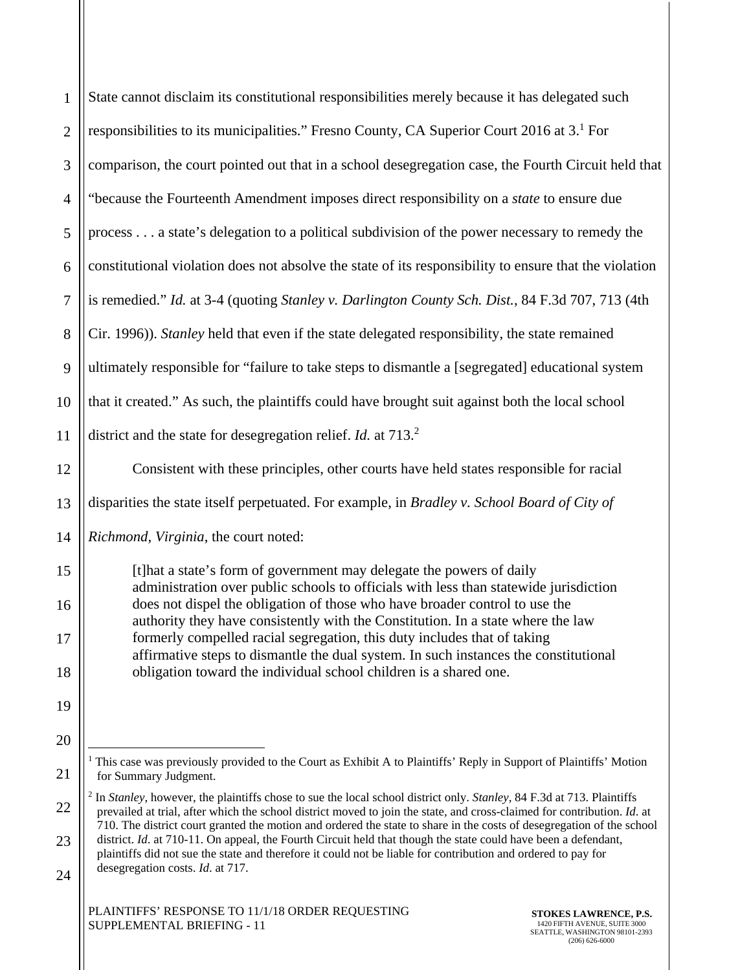| $\mathbf{1}$   | State cannot disclaim its constitutional responsibilities merely because it has delegated such                                                                                                                                                                                                                                                           |
|----------------|----------------------------------------------------------------------------------------------------------------------------------------------------------------------------------------------------------------------------------------------------------------------------------------------------------------------------------------------------------|
| $\overline{2}$ | responsibilities to its municipalities." Fresno County, CA Superior Court 2016 at 3. <sup>1</sup> For                                                                                                                                                                                                                                                    |
| 3              | comparison, the court pointed out that in a school desegregation case, the Fourth Circuit held that                                                                                                                                                                                                                                                      |
| $\overline{4}$ | "because the Fourteenth Amendment imposes direct responsibility on a state to ensure due                                                                                                                                                                                                                                                                 |
| 5              | process a state's delegation to a political subdivision of the power necessary to remedy the                                                                                                                                                                                                                                                             |
| 6              | constitutional violation does not absolve the state of its responsibility to ensure that the violation                                                                                                                                                                                                                                                   |
| $\overline{7}$ | is remedied." Id. at 3-4 (quoting Stanley v. Darlington County Sch. Dist., 84 F.3d 707, 713 (4th                                                                                                                                                                                                                                                         |
| $8\,$          | Cir. 1996)). Stanley held that even if the state delegated responsibility, the state remained                                                                                                                                                                                                                                                            |
| 9              | ultimately responsible for "failure to take steps to dismantle a [segregated] educational system                                                                                                                                                                                                                                                         |
| 10             | that it created." As such, the plaintiffs could have brought suit against both the local school                                                                                                                                                                                                                                                          |
| 11             | district and the state for desegregation relief. <i>Id.</i> at $713.2$                                                                                                                                                                                                                                                                                   |
| 12             | Consistent with these principles, other courts have held states responsible for racial                                                                                                                                                                                                                                                                   |
| 13             | disparities the state itself perpetuated. For example, in Bradley v. School Board of City of                                                                                                                                                                                                                                                             |
| 14             | Richmond, Virginia, the court noted:                                                                                                                                                                                                                                                                                                                     |
| 15             | [t] hat a state's form of government may delegate the powers of daily<br>administration over public schools to officials with less than statewide jurisdiction                                                                                                                                                                                           |
| 16             | does not dispel the obligation of those who have broader control to use the<br>authority they have consistently with the Constitution. In a state where the law                                                                                                                                                                                          |
| 17             | formerly compelled racial segregation, this duty includes that of taking<br>affirmative steps to dismantle the dual system. In such instances the constitutional                                                                                                                                                                                         |
| 18             | obligation toward the individual school children is a shared one.                                                                                                                                                                                                                                                                                        |
| 19             |                                                                                                                                                                                                                                                                                                                                                          |
| 20             |                                                                                                                                                                                                                                                                                                                                                          |
| 21             | <sup>1</sup> This case was previously provided to the Court as Exhibit A to Plaintiffs' Reply in Support of Plaintiffs' Motion<br>for Summary Judgment.                                                                                                                                                                                                  |
| 22             | <sup>2</sup> In Stanley, however, the plaintiffs chose to sue the local school district only. Stanley, 84 F.3d at 713. Plaintiffs<br>prevailed at trial, after which the school district moved to join the state, and cross-claimed for contribution. Id. at                                                                                             |
| 23             | 710. The district court granted the motion and ordered the state to share in the costs of desegregation of the school<br>district. Id. at 710-11. On appeal, the Fourth Circuit held that though the state could have been a defendant,<br>plaintiffs did not sue the state and therefore it could not be liable for contribution and ordered to pay for |
| $\gamma$       | desegregation costs. Id. at 717.                                                                                                                                                                                                                                                                                                                         |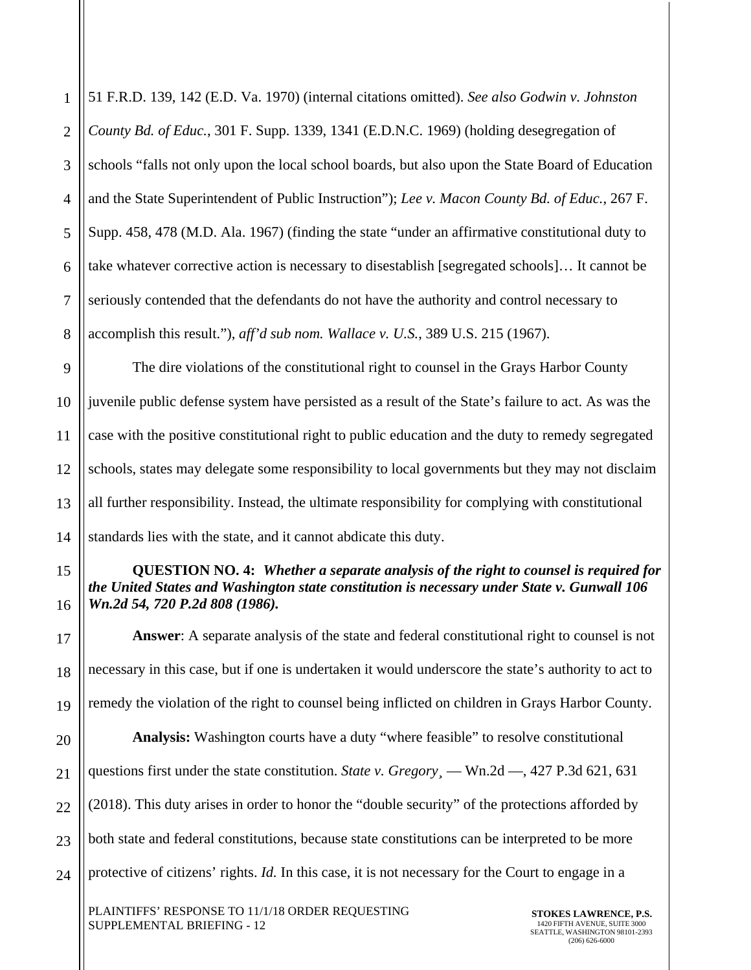1 2 3 4 5 6 7 8 51 F.R.D. 139, 142 (E.D. Va. 1970) (internal citations omitted). *See also Godwin v. Johnston County Bd. of Educ.*, 301 F. Supp. 1339, 1341 (E.D.N.C. 1969) (holding desegregation of schools "falls not only upon the local school boards, but also upon the State Board of Education and the State Superintendent of Public Instruction"); *Lee v. Macon County Bd. of Educ.*, 267 F. Supp. 458, 478 (M.D. Ala. 1967) (finding the state "under an affirmative constitutional duty to take whatever corrective action is necessary to disestablish [segregated schools]… It cannot be seriously contended that the defendants do not have the authority and control necessary to accomplish this result."), *aff'd sub nom. Wallace v. U.S.*, 389 U.S. 215 (1967).

9 10 11 12 13 14 The dire violations of the constitutional right to counsel in the Grays Harbor County juvenile public defense system have persisted as a result of the State's failure to act. As was the case with the positive constitutional right to public education and the duty to remedy segregated schools, states may delegate some responsibility to local governments but they may not disclaim all further responsibility. Instead, the ultimate responsibility for complying with constitutional standards lies with the state, and it cannot abdicate this duty.

# **QUESTION NO. 4:** *Whether a separate analysis of the right to counsel is required for the United States and Washington state constitution is necessary under State v. Gunwall 106 Wn.2d 54, 720 P.2d 808 (1986).*

**Answer**: A separate analysis of the state and federal constitutional right to counsel is not necessary in this case, but if one is undertaken it would underscore the state's authority to act to remedy the violation of the right to counsel being inflicted on children in Grays Harbor County. **Analysis:** Washington courts have a duty "where feasible" to resolve constitutional questions first under the state constitution. *State v. Gregory*, — Wn.2d —, 427 P.3d 621, 631 (2018). This duty arises in order to honor the "double security" of the protections afforded by both state and federal constitutions, because state constitutions can be interpreted to be more protective of citizens' rights. *Id.* In this case, it is not necessary for the Court to engage in a

PLAINTIFFS' RESPONSE TO 11/1/18 ORDER REQUESTING SUPPLEMENTAL BRIEFING - 12

15

16

17

18

19

20

21

22

23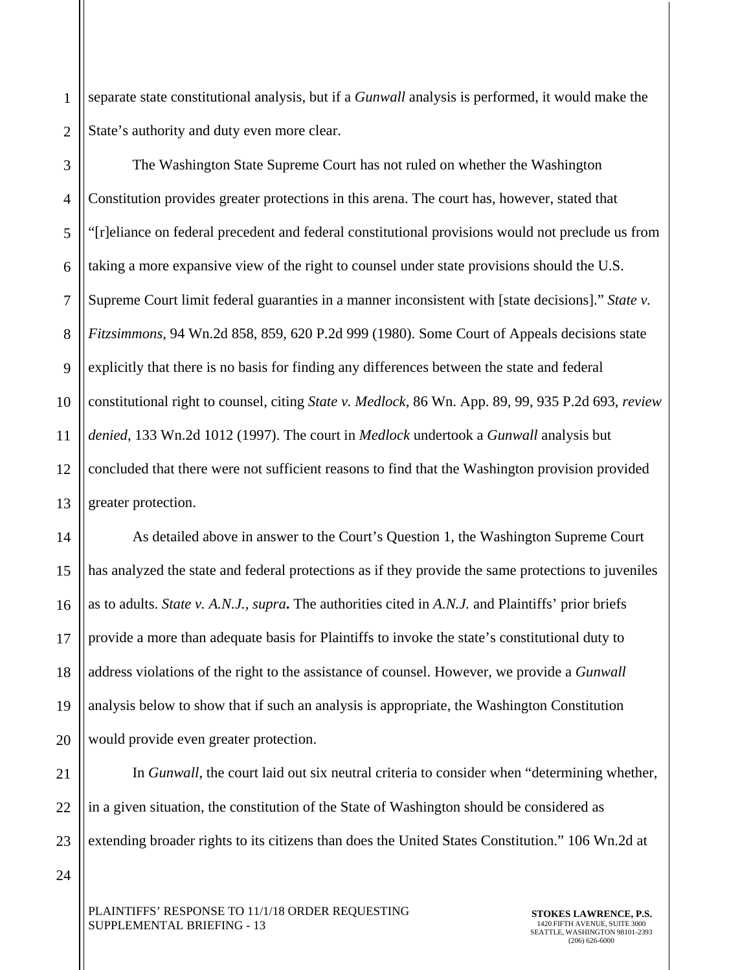1 2 separate state constitutional analysis, but if a *Gunwall* analysis is performed, it would make the State's authority and duty even more clear.

3 4 5 6 7 8 9 10 11 12 13 The Washington State Supreme Court has not ruled on whether the Washington Constitution provides greater protections in this arena. The court has, however, stated that "[r]eliance on federal precedent and federal constitutional provisions would not preclude us from taking a more expansive view of the right to counsel under state provisions should the U.S. Supreme Court limit federal guaranties in a manner inconsistent with [state decisions]." *State v. Fitzsimmons*, 94 Wn.2d 858, 859, 620 P.2d 999 (1980). Some Court of Appeals decisions state explicitly that there is no basis for finding any differences between the state and federal constitutional right to counsel, citing *State v. Medlock*, 86 Wn. App. 89, 99, 935 P.2d 693, *review denied*, 133 Wn.2d 1012 (1997). The court in *Medlock* undertook a *Gunwall* analysis but concluded that there were not sufficient reasons to find that the Washington provision provided greater protection.

14 15 16 17 18 19 20 As detailed above in answer to the Court's Question 1, the Washington Supreme Court has analyzed the state and federal protections as if they provide the same protections to juveniles as to adults. *State v. A.N.J., supra***.** The authorities cited in *A.N.J.* and Plaintiffs' prior briefs provide a more than adequate basis for Plaintiffs to invoke the state's constitutional duty to address violations of the right to the assistance of counsel. However, we provide a *Gunwall* analysis below to show that if such an analysis is appropriate, the Washington Constitution would provide even greater protection.

21 22 23 In *Gunwall*, the court laid out six neutral criteria to consider when "determining whether, in a given situation, the constitution of the State of Washington should be considered as extending broader rights to its citizens than does the United States Constitution." 106 Wn.2d at

24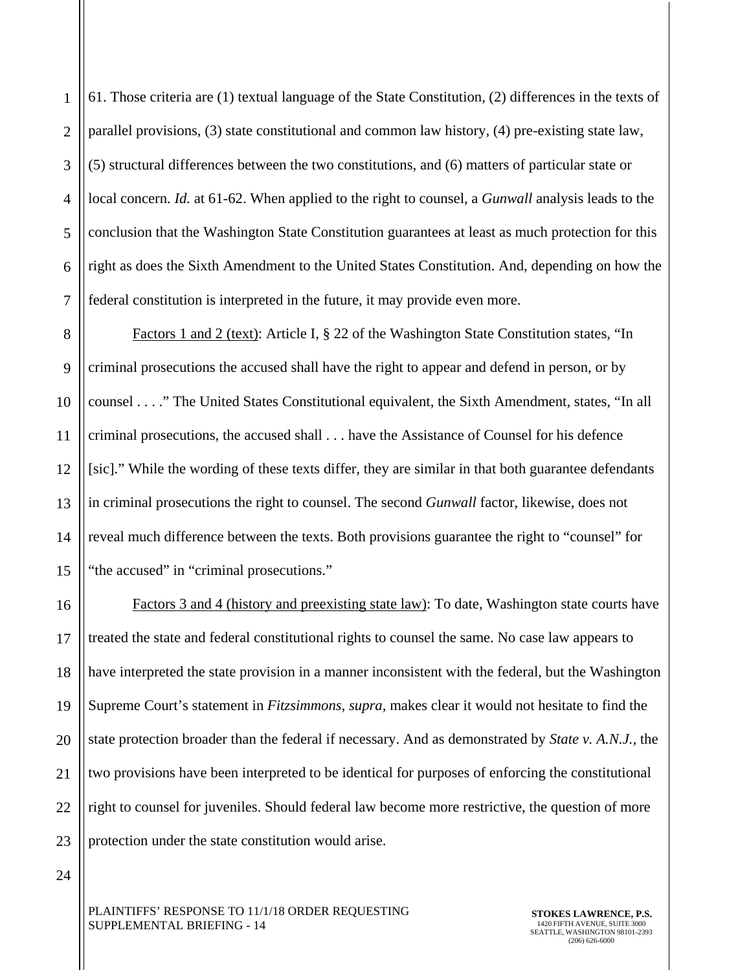1 2 3 4 5 6 7 61. Those criteria are (1) textual language of the State Constitution, (2) differences in the texts of parallel provisions, (3) state constitutional and common law history, (4) pre-existing state law, (5) structural differences between the two constitutions, and (6) matters of particular state or local concern. *Id.* at 61-62. When applied to the right to counsel, a *Gunwall* analysis leads to the conclusion that the Washington State Constitution guarantees at least as much protection for this right as does the Sixth Amendment to the United States Constitution. And, depending on how the federal constitution is interpreted in the future, it may provide even more.

8 9 10 11 12 13 14 15 Factors 1 and 2 (text): Article I, § 22 of the Washington State Constitution states, "In criminal prosecutions the accused shall have the right to appear and defend in person, or by counsel . . . ." The United States Constitutional equivalent, the Sixth Amendment, states, "In all criminal prosecutions, the accused shall . . . have the Assistance of Counsel for his defence [sic]." While the wording of these texts differ, they are similar in that both guarantee defendants in criminal prosecutions the right to counsel. The second *Gunwall* factor, likewise, does not reveal much difference between the texts. Both provisions guarantee the right to "counsel" for "the accused" in "criminal prosecutions."

16 17 18 19 20 21 22 23 Factors 3 and 4 (history and preexisting state law): To date, Washington state courts have treated the state and federal constitutional rights to counsel the same. No case law appears to have interpreted the state provision in a manner inconsistent with the federal, but the Washington Supreme Court's statement in *Fitzsimmons, supra,* makes clear it would not hesitate to find the state protection broader than the federal if necessary. And as demonstrated by *State v. A.N.J.,* the two provisions have been interpreted to be identical for purposes of enforcing the constitutional right to counsel for juveniles. Should federal law become more restrictive, the question of more protection under the state constitution would arise.

24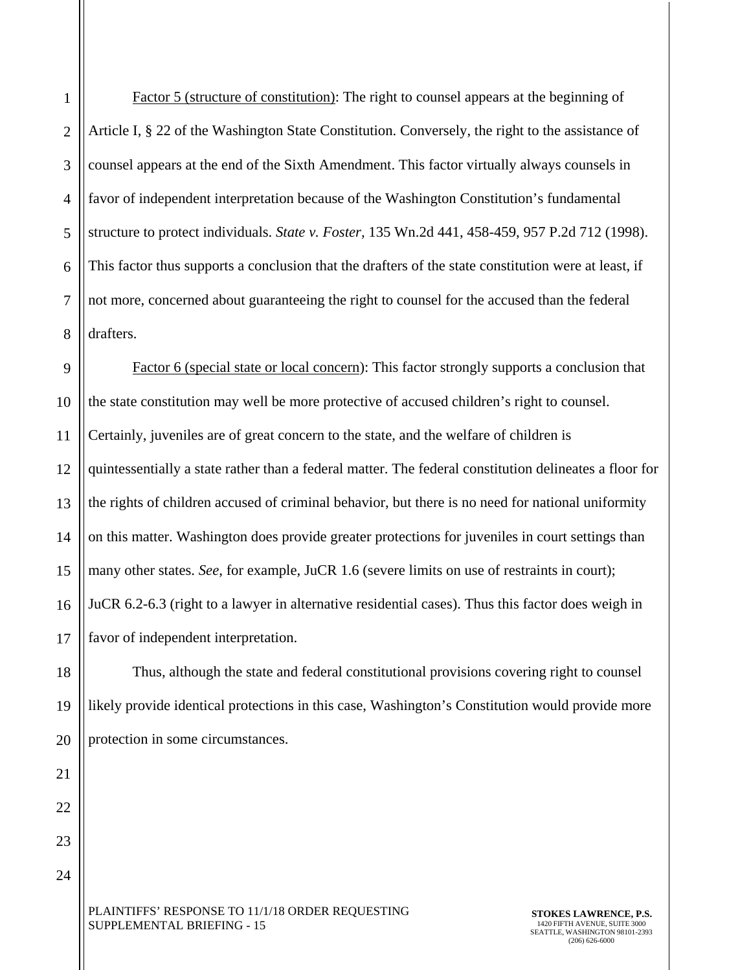8 Factor 5 (structure of constitution): The right to counsel appears at the beginning of Article I, § 22 of the Washington State Constitution. Conversely, the right to the assistance of counsel appears at the end of the Sixth Amendment. This factor virtually always counsels in favor of independent interpretation because of the Washington Constitution's fundamental structure to protect individuals. *State v. Foster,* 135 Wn.2d 441, 458-459, 957 P.2d 712 (1998). This factor thus supports a conclusion that the drafters of the state constitution were at least, if not more, concerned about guaranteeing the right to counsel for the accused than the federal drafters.

1

2

3

4

5

6

7

18

19

20

21

22

23

24

9 10 11 12 13 14 15 16 17 Factor 6 (special state or local concern): This factor strongly supports a conclusion that the state constitution may well be more protective of accused children's right to counsel. Certainly, juveniles are of great concern to the state, and the welfare of children is quintessentially a state rather than a federal matter. The federal constitution delineates a floor for the rights of children accused of criminal behavior, but there is no need for national uniformity on this matter. Washington does provide greater protections for juveniles in court settings than many other states. *See*, for example, JuCR 1.6 (severe limits on use of restraints in court); JuCR 6.2-6.3 (right to a lawyer in alternative residential cases). Thus this factor does weigh in favor of independent interpretation.

Thus, although the state and federal constitutional provisions covering right to counsel likely provide identical protections in this case, Washington's Constitution would provide more protection in some circumstances.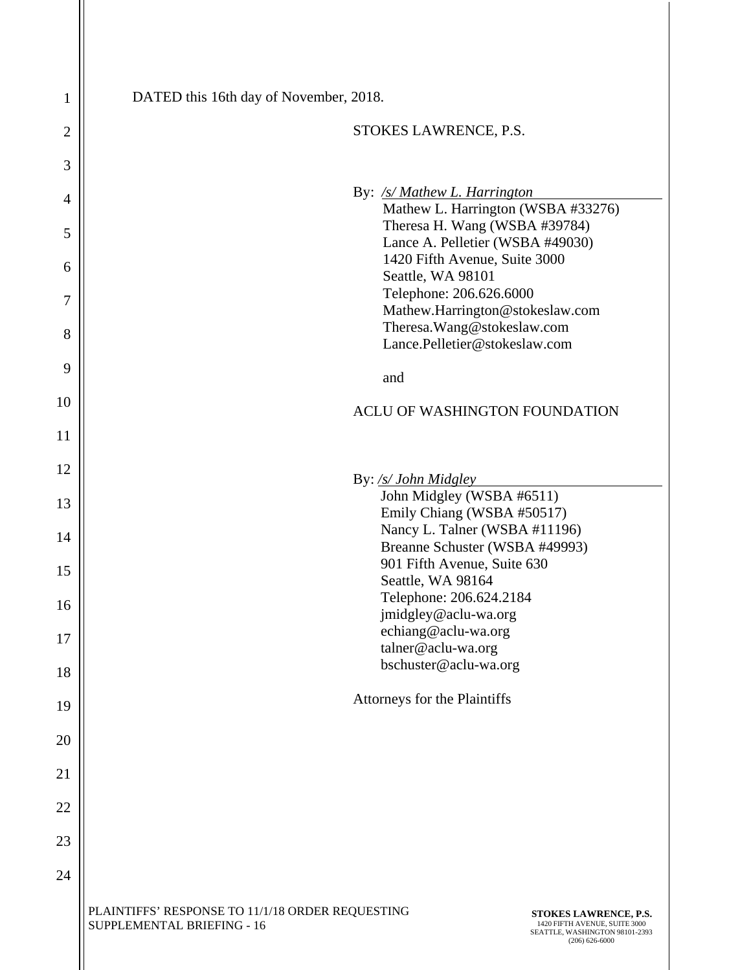| $\mathbf{1}$   | DATED this 16th day of November, 2018.                                                                                                                                                           |
|----------------|--------------------------------------------------------------------------------------------------------------------------------------------------------------------------------------------------|
| $\overline{2}$ | STOKES LAWRENCE, P.S.                                                                                                                                                                            |
| 3              |                                                                                                                                                                                                  |
| 4              | By: /s/ Mathew L. Harrington<br>Mathew L. Harrington (WSBA #33276)                                                                                                                               |
| 5              | Theresa H. Wang (WSBA #39784)<br>Lance A. Pelletier (WSBA #49030)                                                                                                                                |
| 6              | 1420 Fifth Avenue, Suite 3000<br>Seattle, WA 98101                                                                                                                                               |
| 7              | Telephone: 206.626.6000<br>Mathew.Harrington@stokeslaw.com                                                                                                                                       |
| 8              | Theresa. Wang@stokeslaw.com<br>Lance.Pelletier@stokeslaw.com                                                                                                                                     |
| 9              | and                                                                                                                                                                                              |
| 10             | ACLU OF WASHINGTON FOUNDATION                                                                                                                                                                    |
| 11             |                                                                                                                                                                                                  |
| 12             | By: /s/ John Midgley                                                                                                                                                                             |
| 13             | John Midgley (WSBA #6511)<br>Emily Chiang (WSBA #50517)                                                                                                                                          |
| 14             | Nancy L. Talner (WSBA #11196)<br>Breanne Schuster (WSBA #49993)                                                                                                                                  |
| 15             | 901 Fifth Avenue, Suite 630<br>Seattle, WA 98164                                                                                                                                                 |
| 16             | Telephone: 206.624.2184<br>jmidgley@aclu-wa.org                                                                                                                                                  |
| 17             | echiang@aclu-wa.org<br>talner@aclu-wa.org                                                                                                                                                        |
| 18             | bschuster@aclu-wa.org                                                                                                                                                                            |
| 19             | Attorneys for the Plaintiffs                                                                                                                                                                     |
| 20             |                                                                                                                                                                                                  |
| 21             |                                                                                                                                                                                                  |
| 22             |                                                                                                                                                                                                  |
| 23             |                                                                                                                                                                                                  |
| 24             |                                                                                                                                                                                                  |
|                | PLAINTIFFS' RESPONSE TO 11/1/18 ORDER REQUESTING<br>STOKES LAWRENCE, P.S.<br>SUPPLEMENTAL BRIEFING - 16<br>1420 FIFTH AVENUE, SUITE 3000<br>SEATTLE, WASHINGTON 98101-2393<br>$(206) 626 - 6000$ |